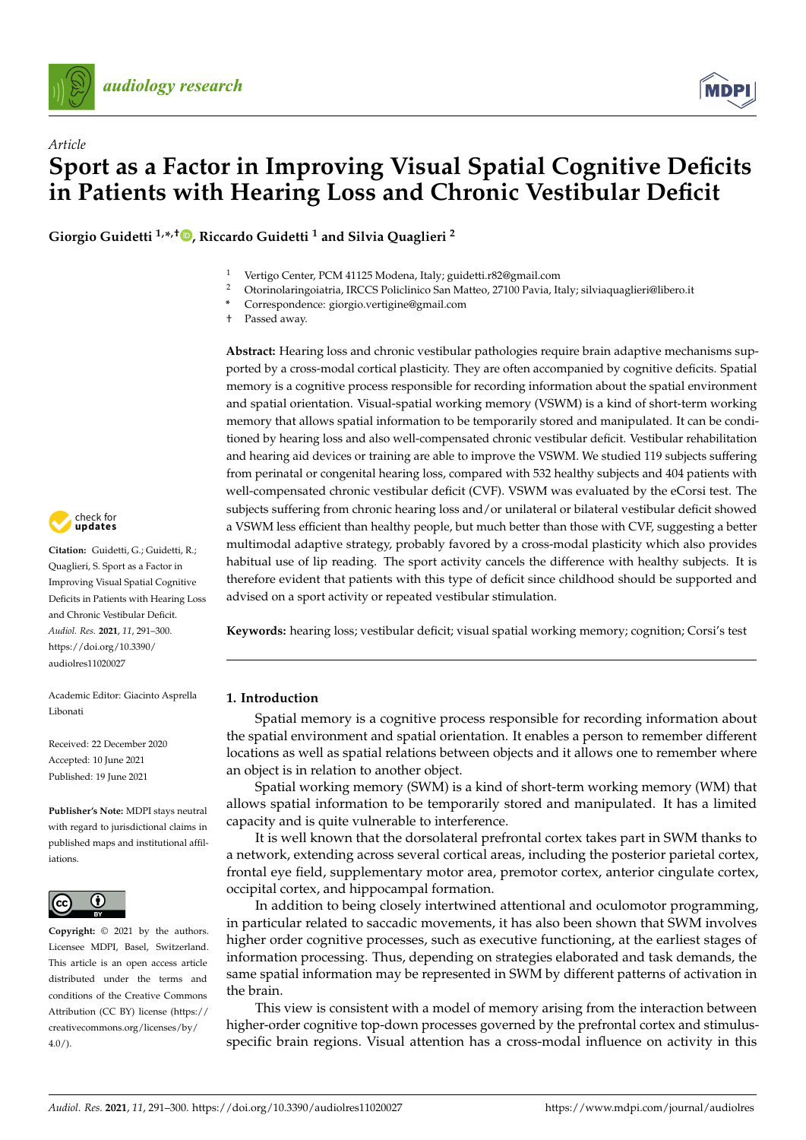

*Article*



# **Sport as a Factor in Improving Visual Spatial Cognitive Deficits in Patients with Hearing Loss and Chronic Vestibular Deficit**

**Giorgio Guidetti 1,\* ,† [,](https://orcid.org/0000-0003-1415-6340) Riccardo Guidetti <sup>1</sup> and Silvia Quaglieri <sup>2</sup>**

- 1 Vertigo Center, PCM 41125 Modena, Italy; guidetti.r82@gmail.com<br>2 Otorinologie incolatric IBCCS Boliglinics San Matteo 27100 Bayia It
- <sup>2</sup> Otorinolaringoiatria, IRCCS Policlinico San Matteo, 27100 Pavia, Italy; silviaquaglieri@libero.it
- **\*** Correspondence: giorgio.vertigine@gmail.com
- † Passed away.

**Abstract:** Hearing loss and chronic vestibular pathologies require brain adaptive mechanisms supported by a cross-modal cortical plasticity. They are often accompanied by cognitive deficits. Spatial memory is a cognitive process responsible for recording information about the spatial environment and spatial orientation. Visual-spatial working memory (VSWM) is a kind of short-term working memory that allows spatial information to be temporarily stored and manipulated. It can be conditioned by hearing loss and also well-compensated chronic vestibular deficit. Vestibular rehabilitation and hearing aid devices or training are able to improve the VSWM. We studied 119 subjects suffering from perinatal or congenital hearing loss, compared with 532 healthy subjects and 404 patients with well-compensated chronic vestibular deficit (CVF). VSWM was evaluated by the eCorsi test. The subjects suffering from chronic hearing loss and/or unilateral or bilateral vestibular deficit showed a VSWM less efficient than healthy people, but much better than those with CVF, suggesting a better multimodal adaptive strategy, probably favored by a cross-modal plasticity which also provides habitual use of lip reading. The sport activity cancels the difference with healthy subjects. It is therefore evident that patients with this type of deficit since childhood should be supported and advised on a sport activity or repeated vestibular stimulation.

**Keywords:** hearing loss; vestibular deficit; visual spatial working memory; cognition; Corsi's test

## **1. Introduction**

Spatial memory is a cognitive process responsible for recording information about the spatial environment and spatial orientation. It enables a person to remember different locations as well as spatial relations between objects and it allows one to remember where an object is in relation to another object.

Spatial working memory (SWM) is a kind of short-term working memory (WM) that allows spatial information to be temporarily stored and manipulated. It has a limited capacity and is quite vulnerable to interference.

It is well known that the dorsolateral prefrontal cortex takes part in SWM thanks to a network, extending across several cortical areas, including the posterior parietal cortex, frontal eye field, supplementary motor area, premotor cortex, anterior cingulate cortex, occipital cortex, and hippocampal formation.

In addition to being closely intertwined attentional and oculomotor programming, in particular related to saccadic movements, it has also been shown that SWM involves higher order cognitive processes, such as executive functioning, at the earliest stages of information processing. Thus, depending on strategies elaborated and task demands, the same spatial information may be represented in SWM by different patterns of activation in the brain.

This view is consistent with a model of memory arising from the interaction between higher-order cognitive top-down processes governed by the prefrontal cortex and stimulusspecific brain regions. Visual attention has a cross-modal influence on activity in this



**Citation:** Guidetti, G.; Guidetti, R.; Quaglieri, S. Sport as a Factor in Improving Visual Spatial Cognitive Deficits in Patients with Hearing Loss and Chronic Vestibular Deficit. *Audiol. Res.* **2021**, *11*, 291–300. [https://doi.org/10.3390/](https://doi.org/10.3390/audiolres11020027) [audiolres11020027](https://doi.org/10.3390/audiolres11020027)

Academic Editor: Giacinto Asprella Libonati

Received: 22 December 2020 Accepted: 10 June 2021 Published: 19 June 2021

**Publisher's Note:** MDPI stays neutral with regard to jurisdictional claims in published maps and institutional affiliations.



**Copyright:** © 2021 by the authors. Licensee MDPI, Basel, Switzerland. This article is an open access article distributed under the terms and conditions of the Creative Commons Attribution (CC BY) license (https:/[/](https://creativecommons.org/licenses/by/4.0/) [creativecommons.org/licenses/by/](https://creativecommons.org/licenses/by/4.0/)  $4.0/$ ).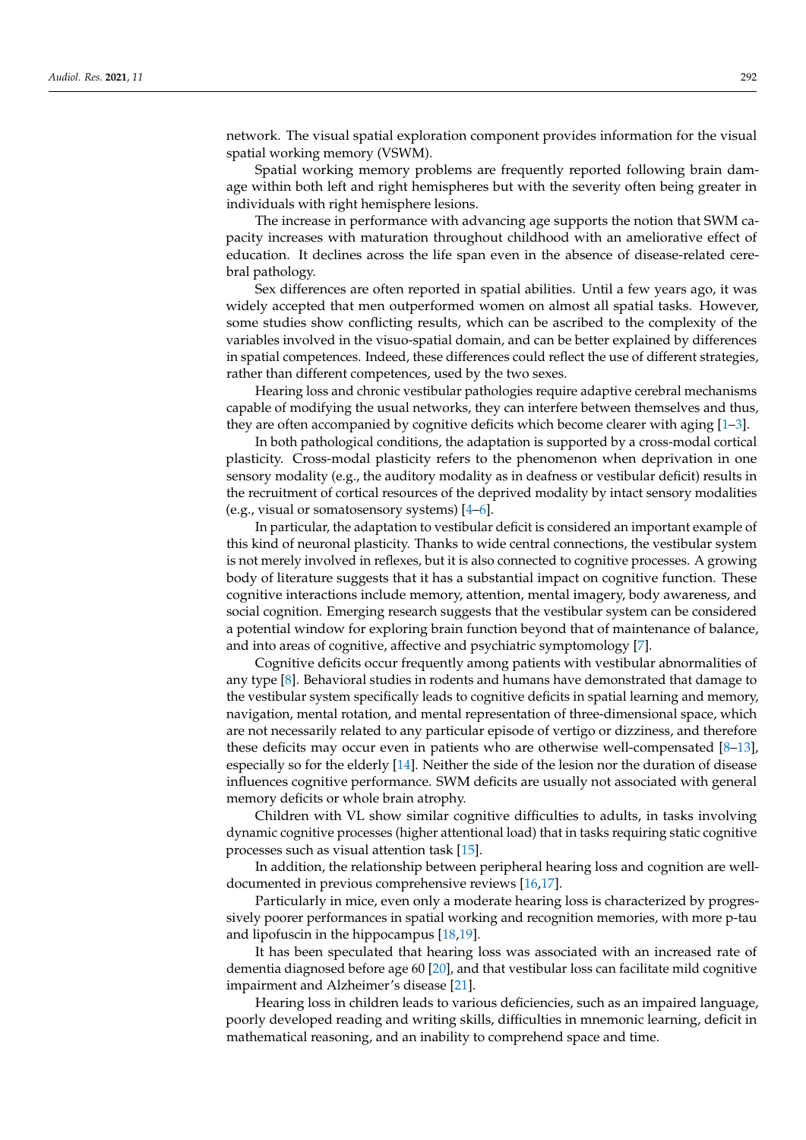network. The visual spatial exploration component provides information for the visual spatial working memory (VSWM).

Spatial working memory problems are frequently reported following brain damage within both left and right hemispheres but with the severity often being greater in individuals with right hemisphere lesions.

The increase in performance with advancing age supports the notion that SWM capacity increases with maturation throughout childhood with an ameliorative effect of education. It declines across the life span even in the absence of disease-related cerebral pathology.

Sex differences are often reported in spatial abilities. Until a few years ago, it was widely accepted that men outperformed women on almost all spatial tasks. However, some studies show conflicting results, which can be ascribed to the complexity of the variables involved in the visuo-spatial domain, and can be better explained by differences in spatial competences. Indeed, these differences could reflect the use of different strategies, rather than different competences, used by the two sexes.

Hearing loss and chronic vestibular pathologies require adaptive cerebral mechanisms capable of modifying the usual networks, they can interfere between themselves and thus, they are often accompanied by cognitive deficits which become clearer with aging [\[1](#page-7-0)[–3\]](#page-7-1).

In both pathological conditions, the adaptation is supported by a cross-modal cortical plasticity. Cross-modal plasticity refers to the phenomenon when deprivation in one sensory modality (e.g., the auditory modality as in deafness or vestibular deficit) results in the recruitment of cortical resources of the deprived modality by intact sensory modalities (e.g., visual or somatosensory systems) [\[4](#page-7-2)[–6\]](#page-7-3).

In particular, the adaptation to vestibular deficit is considered an important example of this kind of neuronal plasticity. Thanks to wide central connections, the vestibular system is not merely involved in reflexes, but it is also connected to cognitive processes. A growing body of literature suggests that it has a substantial impact on cognitive function. These cognitive interactions include memory, attention, mental imagery, body awareness, and social cognition. Emerging research suggests that the vestibular system can be considered a potential window for exploring brain function beyond that of maintenance of balance, and into areas of cognitive, affective and psychiatric symptomology [\[7\]](#page-7-4).

Cognitive deficits occur frequently among patients with vestibular abnormalities of any type [\[8\]](#page-7-5). Behavioral studies in rodents and humans have demonstrated that damage to the vestibular system specifically leads to cognitive deficits in spatial learning and memory, navigation, mental rotation, and mental representation of three-dimensional space, which are not necessarily related to any particular episode of vertigo or dizziness, and therefore these deficits may occur even in patients who are otherwise well-compensated [\[8–](#page-7-5)[13\]](#page-8-0), especially so for the elderly [\[14\]](#page-8-1). Neither the side of the lesion nor the duration of disease influences cognitive performance. SWM deficits are usually not associated with general memory deficits or whole brain atrophy.

Children with VL show similar cognitive difficulties to adults, in tasks involving dynamic cognitive processes (higher attentional load) that in tasks requiring static cognitive processes such as visual attention task [\[15\]](#page-8-2).

In addition, the relationship between peripheral hearing loss and cognition are welldocumented in previous comprehensive reviews [\[16](#page-8-3)[,17\]](#page-8-4).

Particularly in mice, even only a moderate hearing loss is characterized by progressively poorer performances in spatial working and recognition memories, with more p-tau and lipofuscin in the hippocampus [\[18](#page-8-5)[,19\]](#page-8-6).

It has been speculated that hearing loss was associated with an increased rate of dementia diagnosed before age 60 [\[20\]](#page-8-7), and that vestibular loss can facilitate mild cognitive impairment and Alzheimer's disease [\[21\]](#page-8-8).

Hearing loss in children leads to various deficiencies, such as an impaired language, poorly developed reading and writing skills, difficulties in mnemonic learning, deficit in mathematical reasoning, and an inability to comprehend space and time.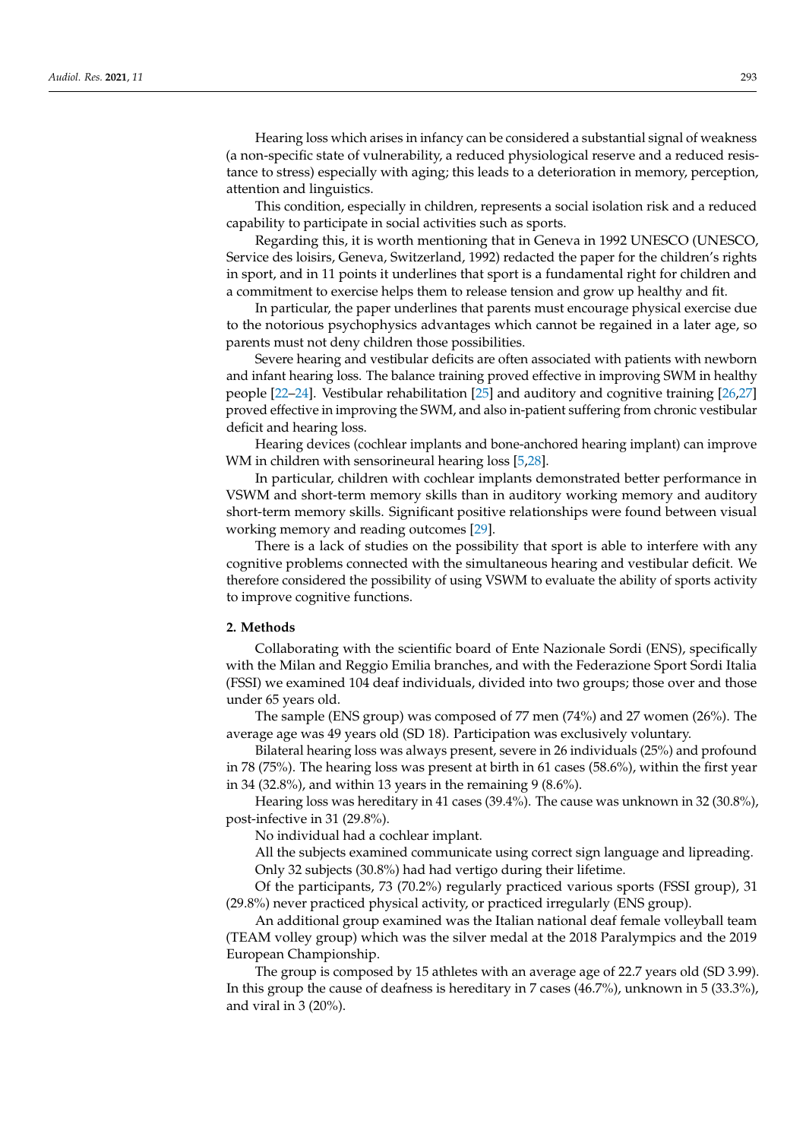Hearing loss which arises in infancy can be considered a substantial signal of weakness (a non-specific state of vulnerability, a reduced physiological reserve and a reduced resistance to stress) especially with aging; this leads to a deterioration in memory, perception, attention and linguistics.

This condition, especially in children, represents a social isolation risk and a reduced capability to participate in social activities such as sports.

Regarding this, it is worth mentioning that in Geneva in 1992 UNESCO (UNESCO, Service des loisirs, Geneva, Switzerland, 1992) redacted the paper for the children's rights in sport, and in 11 points it underlines that sport is a fundamental right for children and a commitment to exercise helps them to release tension and grow up healthy and fit.

In particular, the paper underlines that parents must encourage physical exercise due to the notorious psychophysics advantages which cannot be regained in a later age, so parents must not deny children those possibilities.

Severe hearing and vestibular deficits are often associated with patients with newborn and infant hearing loss. The balance training proved effective in improving SWM in healthy people [\[22](#page-8-9)[–24\]](#page-8-10). Vestibular rehabilitation [\[25\]](#page-8-11) and auditory and cognitive training [\[26,](#page-8-12)[27\]](#page-8-13) proved effective in improving the SWM, and also in-patient suffering from chronic vestibular deficit and hearing loss.

Hearing devices (cochlear implants and bone-anchored hearing implant) can improve WM in children with sensorineural hearing loss [\[5](#page-7-6)[,28\]](#page-8-14).

In particular, children with cochlear implants demonstrated better performance in VSWM and short-term memory skills than in auditory working memory and auditory short-term memory skills. Significant positive relationships were found between visual working memory and reading outcomes [\[29\]](#page-8-15).

There is a lack of studies on the possibility that sport is able to interfere with any cognitive problems connected with the simultaneous hearing and vestibular deficit. We therefore considered the possibility of using VSWM to evaluate the ability of sports activity to improve cognitive functions.

## **2. Methods**

Collaborating with the scientific board of Ente Nazionale Sordi (ENS), specifically with the Milan and Reggio Emilia branches, and with the Federazione Sport Sordi Italia (FSSI) we examined 104 deaf individuals, divided into two groups; those over and those under 65 years old.

The sample (ENS group) was composed of 77 men (74%) and 27 women (26%). The average age was 49 years old (SD 18). Participation was exclusively voluntary.

Bilateral hearing loss was always present, severe in 26 individuals (25%) and profound in 78 (75%). The hearing loss was present at birth in 61 cases (58.6%), within the first year in 34 (32.8%), and within 13 years in the remaining 9 (8.6%).

Hearing loss was hereditary in 41 cases (39.4%). The cause was unknown in 32 (30.8%), post-infective in 31 (29.8%).

No individual had a cochlear implant.

All the subjects examined communicate using correct sign language and lipreading. Only 32 subjects (30.8%) had had vertigo during their lifetime.

Of the participants, 73 (70.2%) regularly practiced various sports (FSSI group), 31 (29.8%) never practiced physical activity, or practiced irregularly (ENS group).

An additional group examined was the Italian national deaf female volleyball team (TEAM volley group) which was the silver medal at the 2018 Paralympics and the 2019 European Championship.

The group is composed by 15 athletes with an average age of 22.7 years old (SD 3.99). In this group the cause of deafness is hereditary in 7 cases (46.7%), unknown in 5 (33.3%), and viral in 3 (20%).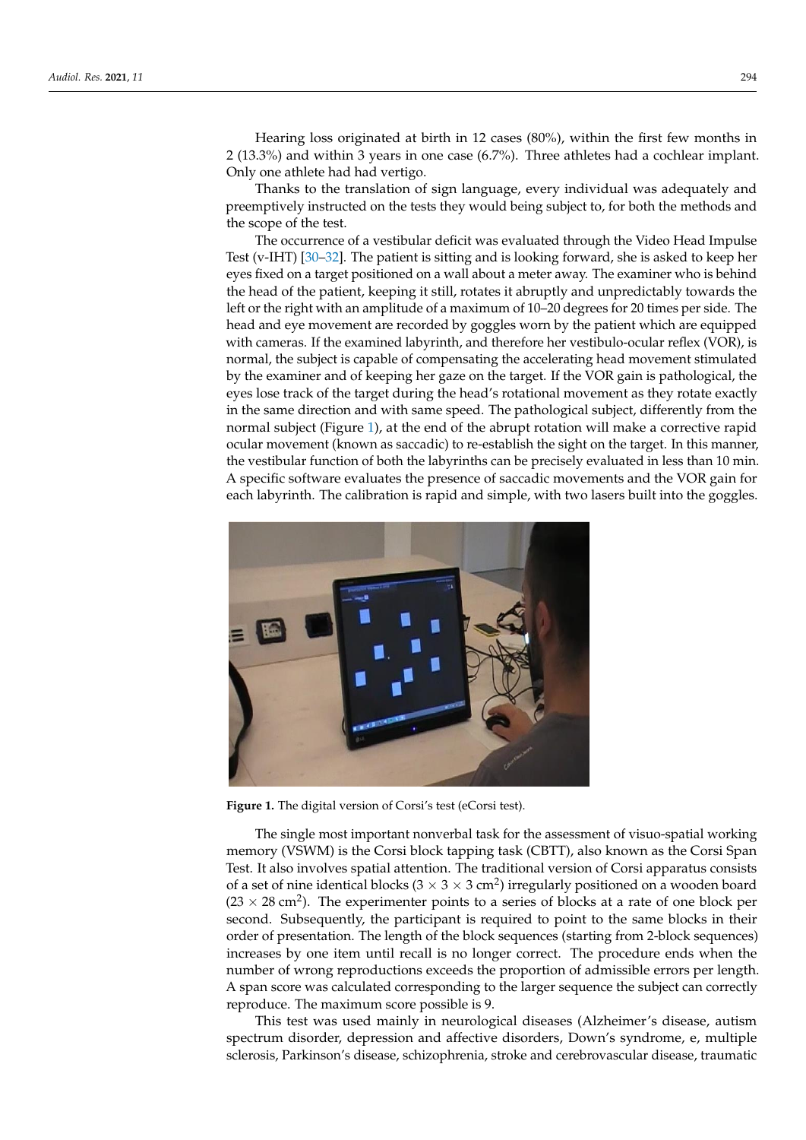Hearing loss originated at birth in 12 cases (80%), within the first few months in 2 (13.3%) and within 3 years in one case (6.7%). Three athletes had a cochlear implant. Only one athlete had had vertigo.

Thanks to the translation of sign language, every individual was adequately and preemptively instructed on the tests they would being subject to, for both the methods and the scope of the test.

The occurrence of a vestibular deficit was evaluated through the Video Head Impulse Test (v-IHT) [\[30](#page-8-16)[–32\]](#page-8-17). The patient is sitting and is looking forward, she is asked to keep her eyes fixed on a target positioned on a wall about a meter away. The examiner who is behind the head of the patient, keeping it still, rotates it abruptly and unpredictably towards the left or the right with an amplitude of a maximum of 10–20 degrees for 20 times per side. The head and eye movement are recorded by goggles worn by the patient which are equipped with cameras. If the examined labyrinth, and therefore her vestibulo-ocular reflex (VOR), is normal, the subject is capable of compensating the accelerating head movement stimulated by the examiner and of keeping her gaze on the target. If the VOR gain is pathological, the eyes lose track of the target during the head's rotational movement as they rotate exactly in the same direction and with same speed. The pathological subject, differently from the normal subject (Figure [1\)](#page-3-0), at the end of the abrupt rotation will make a corrective rapid ocular movement (known as saccadic) to re-establish the sight on the target. In this manner, the vestibular function of both the labyrinths can be precisely evaluated in less than 10 min. A specific software evaluates the presence of saccadic movements and the VOR gain for each labyrinth. The calibration is rapid and simple, with two lasers built into the goggles.

<span id="page-3-0"></span>

**Figure 1.** The digital version of Corsi's test (eCorsi test). **Figure 1.** The digital version of Corsi's test (eCorsi test).

The single most important nonverbal task for the assessment of visuo-spatial working memory (VSWM) is the Corsi block tapping task (CBTT), also known as the Corsi Span Test. It also involves spatial attention. The traditional version of Corsi apparatus consists of a set of nine identical blocks ( $3 \times 3 \times 3$  cm<sup>2</sup>) irregularly positioned on a wooden board  $(23 \times 28 \text{ cm}^2)$ . The experimenter points to a series of blocks at a rate of one block per second. Subsequently, the participant is required to point to the same blocks in their order of presentation. The length of the block sequences (starting from 2-block sequences) increases by one item until recall is no longer correct. The procedure ends when the A span score was calculated corresponding to the larger sequence the subject can correctly  $r$ eproduce. The maximum score possible is 9. number of wrong reproductions exceeds the proportion of admissible errors per length.

This test was used mainly in neurological diseases (Alzheimer's disease, autism spectrum disorder, depression and affective disorders, Down's syndrome, e, multiple sclerosis, Parkinson's disease, schizophrenia, stroke and cerebrovascular disease, traumatic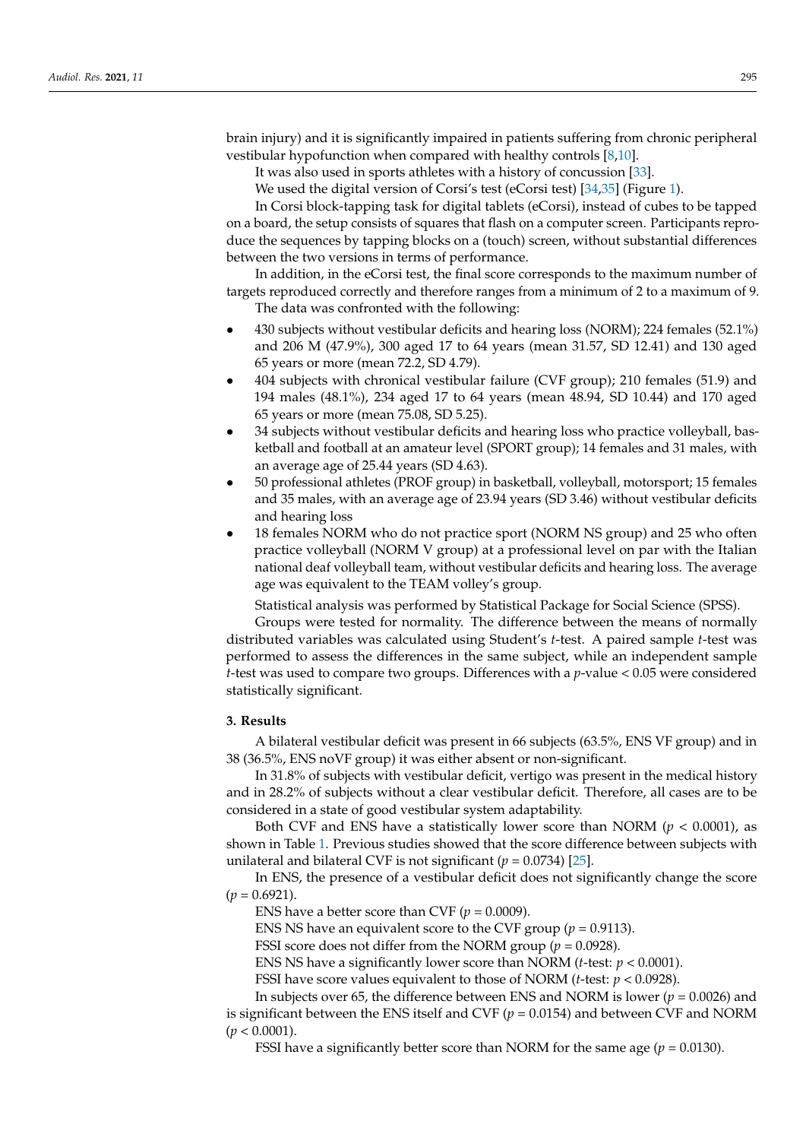brain injury) and it is significantly impaired in patients suffering from chronic peripheral vestibular hypofunction when compared with healthy controls [\[8](#page-7-5)[,10\]](#page-8-18).

It was also used in sports athletes with a history of concussion [\[33\]](#page-8-19).

We used the digital version of Corsi's test (eCorsi test) [\[34](#page-8-20)[,35\]](#page-8-21) (Figure [1\)](#page-3-0).

In Corsi block-tapping task for digital tablets (eCorsi), instead of cubes to be tapped on a board, the setup consists of squares that flash on a computer screen. Participants reproduce the sequences by tapping blocks on a (touch) screen, without substantial differences between the two versions in terms of performance.

In addition, in the eCorsi test, the final score corresponds to the maximum number of targets reproduced correctly and therefore ranges from a minimum of 2 to a maximum of 9. The data was confronted with the following:

- 430 subjects without vestibular deficits and hearing loss (NORM); 224 females (52.1%) and 206 M (47.9%), 300 aged 17 to 64 years (mean 31.57, SD 12.41) and 130 aged 65 years or more (mean 72.2, SD 4.79).
- 404 subjects with chronical vestibular failure (CVF group); 210 females (51.9) and 194 males (48.1%), 234 aged 17 to 64 years (mean 48.94, SD 10.44) and 170 aged 65 years or more (mean 75.08, SD 5.25).
- 34 subjects without vestibular deficits and hearing loss who practice volleyball, basketball and football at an amateur level (SPORT group); 14 females and 31 males, with an average age of 25.44 years (SD 4.63).
- 50 professional athletes (PROF group) in basketball, volleyball, motorsport; 15 females and 35 males, with an average age of 23.94 years (SD 3.46) without vestibular deficits and hearing loss
- 18 females NORM who do not practice sport (NORM NS group) and 25 who often practice volleyball (NORM V group) at a professional level on par with the Italian national deaf volleyball team, without vestibular deficits and hearing loss. The average age was equivalent to the TEAM volley's group.

Statistical analysis was performed by Statistical Package for Social Science (SPSS).

Groups were tested for normality. The difference between the means of normally distributed variables was calculated using Student's *t*-test. A paired sample *t*-test was performed to assess the differences in the same subject, while an independent sample *t*-test was used to compare two groups. Differences with a *p*-value < 0.05 were considered statistically significant.

#### **3. Results**

A bilateral vestibular deficit was present in 66 subjects (63.5%, ENS VF group) and in 38 (36.5%, ENS noVF group) it was either absent or non-significant.

In 31.8% of subjects with vestibular deficit, vertigo was present in the medical history and in 28.2% of subjects without a clear vestibular deficit. Therefore, all cases are to be considered in a state of good vestibular system adaptability.

Both CVF and ENS have a statistically lower score than NORM  $(p < 0.0001)$ , as shown in Table [1.](#page-5-0) Previous studies showed that the score difference between subjects with unilateral and bilateral CVF is not significant ( $p = 0.0734$ ) [\[25\]](#page-8-11).

In ENS, the presence of a vestibular deficit does not significantly change the score  $(p = 0.6921)$ .

ENS have a better score than CVF  $(p = 0.0009)$ .

ENS NS have an equivalent score to the CVF group ( $p = 0.9113$ ).

FSSI score does not differ from the NORM group (*p* = 0.0928).

ENS NS have a significantly lower score than NORM (*t*-test: *p* < 0.0001).

FSSI have score values equivalent to those of NORM (*t*-test: *p* < 0.0928).

In subjects over 65, the difference between ENS and NORM is lower (*p* = 0.0026) and is significant between the ENS itself and CVF  $(p = 0.0154)$  and between CVF and NORM (*p* < 0.0001).

FSSI have a significantly better score than NORM for the same age  $(p = 0.0130)$ .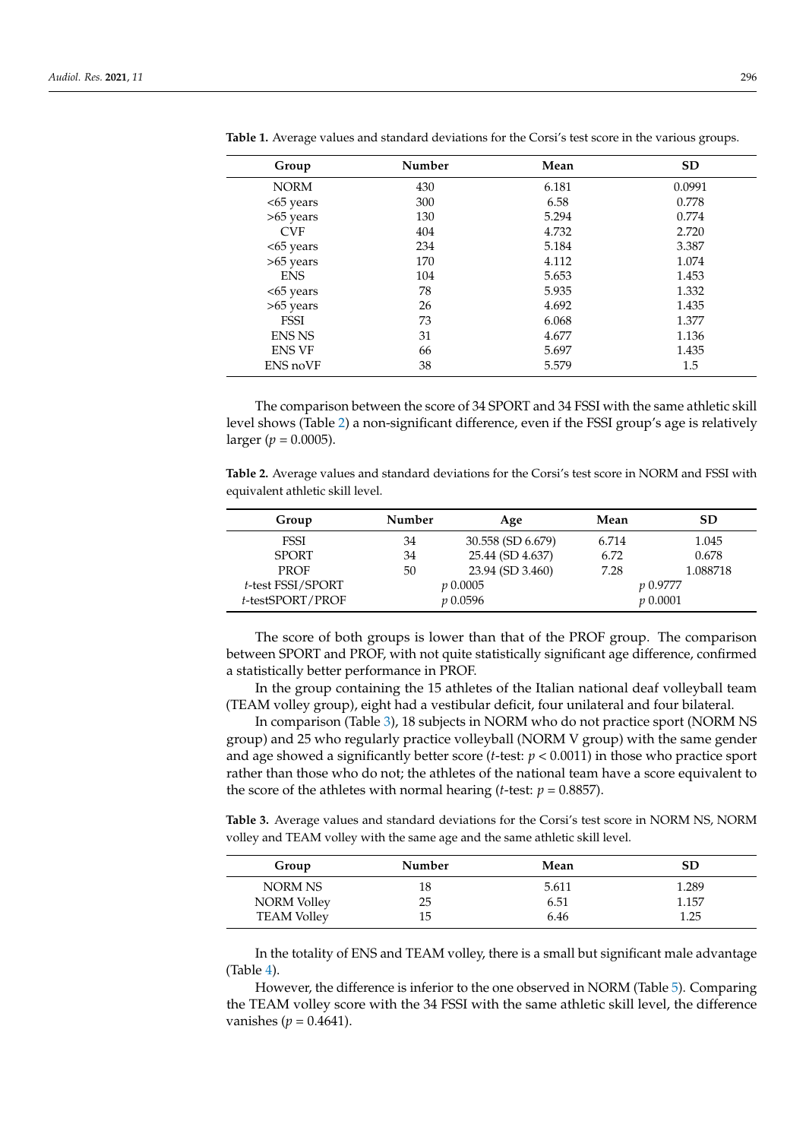| Group         | Number | Mean  | <b>SD</b> |
|---------------|--------|-------|-----------|
| <b>NORM</b>   | 430    | 6.181 | 0.0991    |
| <65 years     | 300    | 6.58  | 0.778     |
| $>65$ years   | 130    | 5.294 | 0.774     |
| <b>CVF</b>    | 404    | 4.732 | 2.720     |
| <65 years     | 234    | 5.184 | 3.387     |
| >65 years     | 170    | 4.112 | 1.074     |
| <b>ENS</b>    | 104    | 5.653 | 1.453     |
| <65 years     | 78     | 5.935 | 1.332     |
| >65 years     | 26     | 4.692 | 1.435     |
| <b>FSSI</b>   | 73     | 6.068 | 1.377     |
| <b>ENS NS</b> | 31     | 4.677 | 1.136     |
| <b>ENS VF</b> | 66     | 5.697 | 1.435     |
| ENS noVF      | 38     | 5.579 | 1.5       |

<span id="page-5-0"></span>**Table 1.** Average values and standard deviations for the Corsi's test score in the various groups.

The comparison between the score of 34 SPORT and 34 FSSI with the same athletic skill level shows (Table [2\)](#page-5-1) a non-significant difference, even if the FSSI group's age is relatively larger ( $p = 0.0005$ ).

<span id="page-5-1"></span>**Table 2.** Average values and standard deviations for the Corsi's test score in NORM and FSSI with equivalent athletic skill level.

| Group             | Number | Age               | Mean  | <b>SD</b>   |
|-------------------|--------|-------------------|-------|-------------|
| <b>FSSI</b>       | 34     | 30.558 (SD 6.679) | 6.714 | 1.045       |
| <b>SPORT</b>      | 34     | 25.44 (SD 4.637)  | 6.72  | 0.678       |
| <b>PROF</b>       | 50     | 23.94 (SD 3.460)  | 7.28  | 1.088718    |
| t-test FSSI/SPORT |        | $p\ 0.0005$       |       | p 0.9777    |
| t-testSPORT/PROF  |        | <i>v</i> 0.0596   |       | $p\ 0.0001$ |

The score of both groups is lower than that of the PROF group. The comparison between SPORT and PROF, with not quite statistically significant age difference, confirmed a statistically better performance in PROF.

In the group containing the 15 athletes of the Italian national deaf volleyball team (TEAM volley group), eight had a vestibular deficit, four unilateral and four bilateral.

In comparison (Table [3\)](#page-5-2), 18 subjects in NORM who do not practice sport (NORM NS group) and 25 who regularly practice volleyball (NORM V group) with the same gender and age showed a significantly better score (*t*-test: *p* < 0.0011) in those who practice sport rather than those who do not; the athletes of the national team have a score equivalent to the score of the athletes with normal hearing (*t*-test:  $p = 0.8857$ ).

<span id="page-5-2"></span>**Table 3.** Average values and standard deviations for the Corsi's test score in NORM NS, NORM volley and TEAM volley with the same age and the same athletic skill level.

| Group              | Number | Mean  | SD    |
|--------------------|--------|-------|-------|
| NORM NS            | 18     | 5.611 | 1.289 |
| <b>NORM</b> Volley | 25     | 6.51  | 1.157 |
| <b>TEAM Volley</b> | 15     | 6.46  | 1.25  |

In the totality of ENS and TEAM volley, there is a small but significant male advantage (Table [4\)](#page-6-0).

However, the difference is inferior to the one observed in NORM (Table [5\)](#page-6-1). Comparing the TEAM volley score with the 34 FSSI with the same athletic skill level, the difference vanishes ( $p = 0.4641$ ).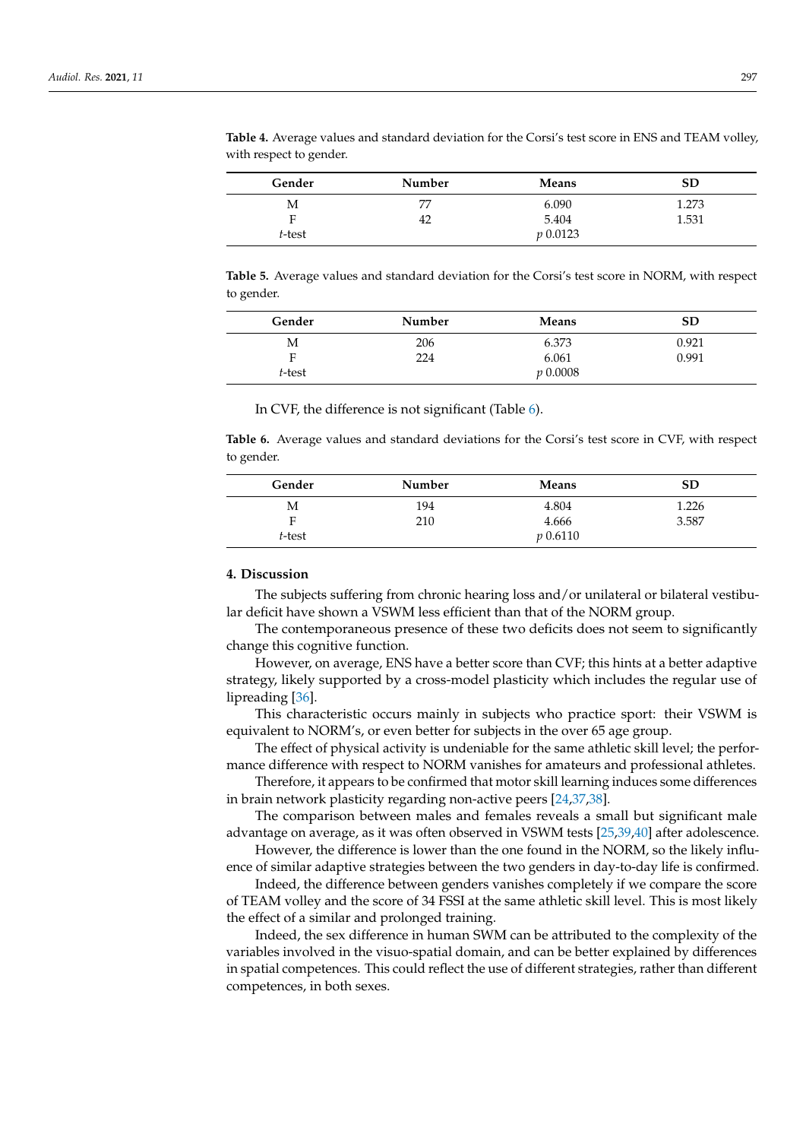| Gender | Number | Means        | SD    |
|--------|--------|--------------|-------|
| M      | 77     | 6.090        | 1.273 |
| Е      | 42     | 5.404        | 1.531 |
| t-test |        | $p_{0.0123}$ |       |

<span id="page-6-0"></span>**Table 4.** Average values and standard deviation for the Corsi's test score in ENS and TEAM volley, with respect to gender.

<span id="page-6-1"></span>**Table 5.** Average values and standard deviation for the Corsi's test score in NORM, with respect to gender.

| Gender | Number | Means       | SD    |
|--------|--------|-------------|-------|
| Μ      | 206    | 6.373       | 0.921 |
| F      | 224    | 6.061       | 0.991 |
| t-test |        | $p\ 0.0008$ |       |

In CVF, the difference is not significant (Table [6\)](#page-6-2).

<span id="page-6-2"></span>**Table 6.** Average values and standard deviations for the Corsi's test score in CVF, with respect to gender.

| Gender | Number | Means        | SD    |
|--------|--------|--------------|-------|
| M      | 194    | 4.804        | 1.226 |
| Е      | 210    | 4.666        | 3.587 |
| t-test |        | $p_{0.6110}$ |       |

### **4. Discussion**

The subjects suffering from chronic hearing loss and/or unilateral or bilateral vestibular deficit have shown a VSWM less efficient than that of the NORM group.

The contemporaneous presence of these two deficits does not seem to significantly change this cognitive function.

However, on average, ENS have a better score than CVF; this hints at a better adaptive strategy, likely supported by a cross-model plasticity which includes the regular use of lipreading [\[36\]](#page-8-22).

This characteristic occurs mainly in subjects who practice sport: their VSWM is equivalent to NORM's, or even better for subjects in the over 65 age group.

The effect of physical activity is undeniable for the same athletic skill level; the performance difference with respect to NORM vanishes for amateurs and professional athletes.

Therefore, it appears to be confirmed that motor skill learning induces some differences in brain network plasticity regarding non-active peers [\[24](#page-8-10)[,37](#page-8-23)[,38\]](#page-8-24).

The comparison between males and females reveals a small but significant male advantage on average, as it was often observed in VSWM tests [\[25](#page-8-11)[,39](#page-9-0)[,40\]](#page-9-1) after adolescence.

However, the difference is lower than the one found in the NORM, so the likely influence of similar adaptive strategies between the two genders in day-to-day life is confirmed.

Indeed, the difference between genders vanishes completely if we compare the score of TEAM volley and the score of 34 FSSI at the same athletic skill level. This is most likely the effect of a similar and prolonged training.

Indeed, the sex difference in human SWM can be attributed to the complexity of the variables involved in the visuo-spatial domain, and can be better explained by differences in spatial competences. This could reflect the use of different strategies, rather than different competences, in both sexes.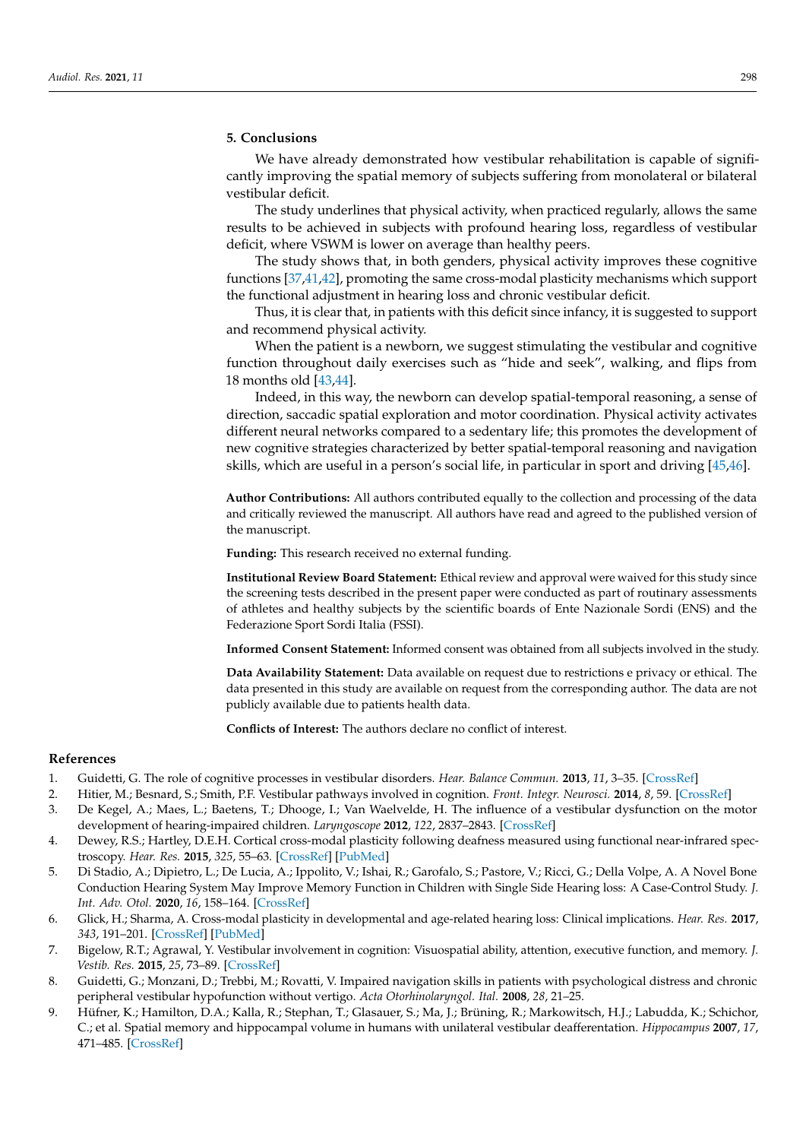## **5. Conclusions**

We have already demonstrated how vestibular rehabilitation is capable of significantly improving the spatial memory of subjects suffering from monolateral or bilateral vestibular deficit.

The study underlines that physical activity, when practiced regularly, allows the same results to be achieved in subjects with profound hearing loss, regardless of vestibular deficit, where VSWM is lower on average than healthy peers.

The study shows that, in both genders, physical activity improves these cognitive functions [\[37](#page-8-23)[,41](#page-9-2)[,42\]](#page-9-3), promoting the same cross-modal plasticity mechanisms which support the functional adjustment in hearing loss and chronic vestibular deficit.

Thus, it is clear that, in patients with this deficit since infancy, it is suggested to support and recommend physical activity.

When the patient is a newborn, we suggest stimulating the vestibular and cognitive function throughout daily exercises such as "hide and seek", walking, and flips from 18 months old [\[43,](#page-9-4)[44\]](#page-9-5).

Indeed, in this way, the newborn can develop spatial-temporal reasoning, a sense of direction, saccadic spatial exploration and motor coordination. Physical activity activates different neural networks compared to a sedentary life; this promotes the development of new cognitive strategies characterized by better spatial-temporal reasoning and navigation skills, which are useful in a person's social life, in particular in sport and driving [\[45](#page-9-6)[,46\]](#page-9-7).

**Author Contributions:** All authors contributed equally to the collection and processing of the data and critically reviewed the manuscript. All authors have read and agreed to the published version of the manuscript.

**Funding:** This research received no external funding.

**Institutional Review Board Statement:** Ethical review and approval were waived for this study since the screening tests described in the present paper were conducted as part of routinary assessments of athletes and healthy subjects by the scientific boards of Ente Nazionale Sordi (ENS) and the Federazione Sport Sordi Italia (FSSI).

**Informed Consent Statement:** Informed consent was obtained from all subjects involved in the study.

**Data Availability Statement:** Data available on request due to restrictions e privacy or ethical. The data presented in this study are available on request from the corresponding author. The data are not publicly available due to patients health data.

**Conflicts of Interest:** The authors declare no conflict of interest.

#### **References**

- <span id="page-7-0"></span>1. Guidetti, G. The role of cognitive processes in vestibular disorders. *Hear. Balance Commun.* **2013**, *11*, 3–35. [\[CrossRef\]](http://doi.org/10.3109/21695717.2013.765085)
- 2. Hitier, M.; Besnard, S.; Smith, P.F. Vestibular pathways involved in cognition. *Front. Integr. Neurosci.* **2014**, *8*, 59. [\[CrossRef\]](http://doi.org/10.3389/fnint.2014.00059)
- <span id="page-7-1"></span>3. De Kegel, A.; Maes, L.; Baetens, T.; Dhooge, I.; Van Waelvelde, H. The influence of a vestibular dysfunction on the motor development of hearing-impaired children. *Laryngoscope* **2012**, *122*, 2837–2843. [\[CrossRef\]](http://doi.org/10.1002/lary.23529)
- <span id="page-7-2"></span>4. Dewey, R.S.; Hartley, D.E.H. Cortical cross-modal plasticity following deafness measured using functional near-infrared spectroscopy. *Hear. Res.* **2015**, *325*, 55–63. [\[CrossRef\]](http://doi.org/10.1016/j.heares.2015.03.007) [\[PubMed\]](http://www.ncbi.nlm.nih.gov/pubmed/25819496)
- <span id="page-7-6"></span>5. Di Stadio, A.; Dipietro, L.; De Lucia, A.; Ippolito, V.; Ishai, R.; Garofalo, S.; Pastore, V.; Ricci, G.; Della Volpe, A. A Novel Bone Conduction Hearing System May Improve Memory Function in Children with Single Side Hearing loss: A Case-Control Study. *J. Int. Adv. Otol.* **2020**, *16*, 158–164. [\[CrossRef\]](http://doi.org/10.5152/iao.2020.7941)
- <span id="page-7-3"></span>6. Glick, H.; Sharma, A. Cross-modal plasticity in developmental and age-related hearing loss: Clinical implications. *Hear. Res.* **2017**, *343*, 191–201. [\[CrossRef\]](http://doi.org/10.1016/j.heares.2016.08.012) [\[PubMed\]](http://www.ncbi.nlm.nih.gov/pubmed/27613397)
- <span id="page-7-4"></span>7. Bigelow, R.T.; Agrawal, Y. Vestibular involvement in cognition: Visuospatial ability, attention, executive function, and memory. *J. Vestib. Res.* **2015**, *25*, 73–89. [\[CrossRef\]](http://doi.org/10.3233/VES-150544)
- <span id="page-7-5"></span>8. Guidetti, G.; Monzani, D.; Trebbi, M.; Rovatti, V. Impaired navigation skills in patients with psychological distress and chronic peripheral vestibular hypofunction without vertigo. *Acta Otorhinolaryngol. Ital.* **2008**, *28*, 21–25.
- 9. Hüfner, K.; Hamilton, D.A.; Kalla, R.; Stephan, T.; Glasauer, S.; Ma, J.; Brüning, R.; Markowitsch, H.J.; Labudda, K.; Schichor, C.; et al. Spatial memory and hippocampal volume in humans with unilateral vestibular deafferentation. *Hippocampus* **2007**, *17*, 471–485. [\[CrossRef\]](http://doi.org/10.1002/hipo.20283)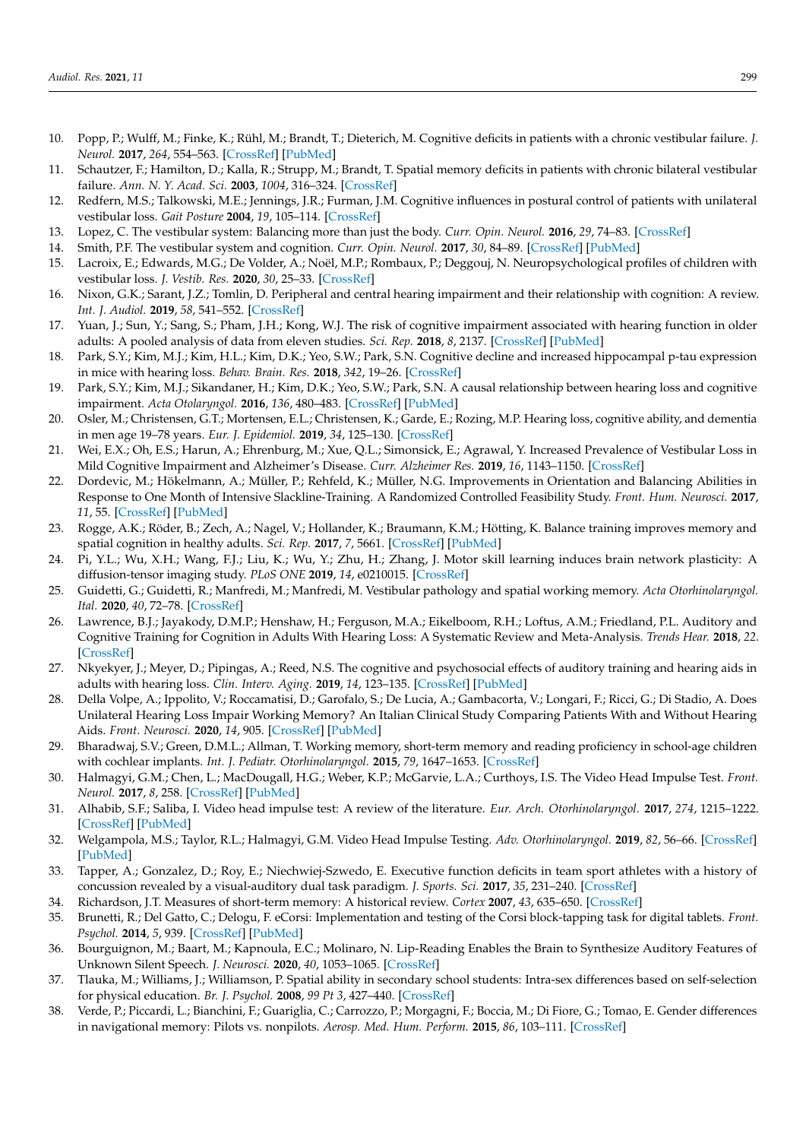- <span id="page-8-18"></span>10. Popp, P.; Wulff, M.; Finke, K.; Rühl, M.; Brandt, T.; Dieterich, M. Cognitive deficits in patients with a chronic vestibular failure. *J. Neurol.* **2017**, *264*, 554–563. [\[CrossRef\]](http://doi.org/10.1007/s00415-016-8386-7) [\[PubMed\]](http://www.ncbi.nlm.nih.gov/pubmed/28074268)
- 11. Schautzer, F.; Hamilton, D.; Kalla, R.; Strupp, M.; Brandt, T. Spatial memory deficits in patients with chronic bilateral vestibular failure. *Ann. N. Y. Acad. Sci.* **2003**, *1004*, 316–324. [\[CrossRef\]](http://doi.org/10.1196/annals.1303.029)
- 12. Redfern, M.S.; Talkowski, M.E.; Jennings, J.R.; Furman, J.M. Cognitive influences in postural control of patients with unilateral vestibular loss. *Gait Posture* **2004**, *19*, 105–114. [\[CrossRef\]](http://doi.org/10.1016/S0966-6362(03)00032-8)
- <span id="page-8-0"></span>13. Lopez, C. The vestibular system: Balancing more than just the body. *Curr. Opin. Neurol.* **2016**, *29*, 74–83. [\[CrossRef\]](http://doi.org/10.1097/WCO.0000000000000286)
- <span id="page-8-1"></span>14. Smith, P.F. The vestibular system and cognition. *Curr. Opin. Neurol.* **2017**, *30*, 84–89. [\[CrossRef\]](http://doi.org/10.1097/WCO.0000000000000403) [\[PubMed\]](http://www.ncbi.nlm.nih.gov/pubmed/27845944)
- <span id="page-8-2"></span>15. Lacroix, E.; Edwards, M.G.; De Volder, A.; Noël, M.P.; Rombaux, P.; Deggouj, N. Neuropsychological profiles of children with vestibular loss. *J. Vestib. Res.* **2020**, *30*, 25–33. [\[CrossRef\]](http://doi.org/10.3233/VES-200689)
- <span id="page-8-3"></span>16. Nixon, G.K.; Sarant, J.Z.; Tomlin, D. Peripheral and central hearing impairment and their relationship with cognition: A review. *Int. J. Audiol.* **2019**, *58*, 541–552. [\[CrossRef\]](http://doi.org/10.1080/14992027.2019.1591644)
- <span id="page-8-4"></span>17. Yuan, J.; Sun, Y.; Sang, S.; Pham, J.H.; Kong, W.J. The risk of cognitive impairment associated with hearing function in older adults: A pooled analysis of data from eleven studies. *Sci. Rep.* **2018**, *8*, 2137. [\[CrossRef\]](http://doi.org/10.1038/s41598-018-20496-w) [\[PubMed\]](http://www.ncbi.nlm.nih.gov/pubmed/29391476)
- <span id="page-8-5"></span>18. Park, S.Y.; Kim, M.J.; Kim, H.L.; Kim, D.K.; Yeo, S.W.; Park, S.N. Cognitive decline and increased hippocampal p-tau expression in mice with hearing loss. *Behav. Brain. Res.* **2018**, *342*, 19–26. [\[CrossRef\]](http://doi.org/10.1016/j.bbr.2018.01.003)
- <span id="page-8-6"></span>19. Park, S.Y.; Kim, M.J.; Sikandaner, H.; Kim, D.K.; Yeo, S.W.; Park, S.N. A causal relationship between hearing loss and cognitive impairment. *Acta Otolaryngol.* **2016**, *136*, 480–483. [\[CrossRef\]](http://doi.org/10.3109/00016489.2015.1130857) [\[PubMed\]](http://www.ncbi.nlm.nih.gov/pubmed/26808715)
- <span id="page-8-7"></span>20. Osler, M.; Christensen, G.T.; Mortensen, E.L.; Christensen, K.; Garde, E.; Rozing, M.P. Hearing loss, cognitive ability, and dementia in men age 19–78 years. *Eur. J. Epidemiol.* **2019**, *34*, 125–130. [\[CrossRef\]](http://doi.org/10.1007/s10654-018-0452-2)
- <span id="page-8-8"></span>21. Wei, E.X.; Oh, E.S.; Harun, A.; Ehrenburg, M.; Xue, Q.L.; Simonsick, E.; Agrawal, Y. Increased Prevalence of Vestibular Loss in Mild Cognitive Impairment and Alzheimer's Disease. *Curr. Alzheimer Res.* **2019**, *16*, 1143–1150. [\[CrossRef\]](http://doi.org/10.2174/1567205016666190816114838)
- <span id="page-8-9"></span>22. Dordevic, M.; Hökelmann, A.; Müller, P.; Rehfeld, K.; Müller, N.G. Improvements in Orientation and Balancing Abilities in Response to One Month of Intensive Slackline-Training. A Randomized Controlled Feasibility Study. *Front. Hum. Neurosci.* **2017**, *11*, 55. [\[CrossRef\]](http://doi.org/10.3389/fnhum.2017.00055) [\[PubMed\]](http://www.ncbi.nlm.nih.gov/pubmed/28239345)
- 23. Rogge, A.K.; Röder, B.; Zech, A.; Nagel, V.; Hollander, K.; Braumann, K.M.; Hötting, K. Balance training improves memory and spatial cognition in healthy adults. *Sci. Rep.* **2017**, *7*, 5661. [\[CrossRef\]](http://doi.org/10.1038/s41598-017-06071-9) [\[PubMed\]](http://www.ncbi.nlm.nih.gov/pubmed/28720898)
- <span id="page-8-10"></span>24. Pi, Y.L.; Wu, X.H.; Wang, F.J.; Liu, K.; Wu, Y.; Zhu, H.; Zhang, J. Motor skill learning induces brain network plasticity: A diffusion-tensor imaging study. *PLoS ONE* **2019**, *14*, e0210015. [\[CrossRef\]](http://doi.org/10.1371/journal.pone.0210015)
- <span id="page-8-11"></span>25. Guidetti, G.; Guidetti, R.; Manfredi, M.; Manfredi, M. Vestibular pathology and spatial working memory. *Acta Otorhinolaryngol. Ital.* **2020**, *40*, 72–78. [\[CrossRef\]](http://doi.org/10.14639/0392-100X-2189)
- <span id="page-8-12"></span>26. Lawrence, B.J.; Jayakody, D.M.P.; Henshaw, H.; Ferguson, M.A.; Eikelboom, R.H.; Loftus, A.M.; Friedland, P.L. Auditory and Cognitive Training for Cognition in Adults With Hearing Loss: A Systematic Review and Meta-Analysis. *Trends Hear.* **2018**, *22*. [\[CrossRef\]](http://doi.org/10.1177/2331216518792096)
- <span id="page-8-13"></span>27. Nkyekyer, J.; Meyer, D.; Pipingas, A.; Reed, N.S. The cognitive and psychosocial effects of auditory training and hearing aids in adults with hearing loss. *Clin. Interv. Aging.* **2019**, *14*, 123–135. [\[CrossRef\]](http://doi.org/10.2147/CIA.S183905) [\[PubMed\]](http://www.ncbi.nlm.nih.gov/pubmed/30666098)
- <span id="page-8-14"></span>28. Della Volpe, A.; Ippolito, V.; Roccamatisi, D.; Garofalo, S.; De Lucia, A.; Gambacorta, V.; Longari, F.; Ricci, G.; Di Stadio, A. Does Unilateral Hearing Loss Impair Working Memory? An Italian Clinical Study Comparing Patients With and Without Hearing Aids. *Front. Neurosci.* **2020**, *14*, 905. [\[CrossRef\]](http://doi.org/10.3389/fnins.2020.00905) [\[PubMed\]](http://www.ncbi.nlm.nih.gov/pubmed/33013298)
- <span id="page-8-15"></span>29. Bharadwaj, S.V.; Green, D.M.L.; Allman, T. Working memory, short-term memory and reading proficiency in school-age children with cochlear implants. *Int. J. Pediatr. Otorhinolaryngol.* **2015**, *79*, 1647–1653. [\[CrossRef\]](http://doi.org/10.1016/j.ijporl.2015.07.006)
- <span id="page-8-16"></span>30. Halmagyi, G.M.; Chen, L.; MacDougall, H.G.; Weber, K.P.; McGarvie, L.A.; Curthoys, I.S. The Video Head Impulse Test. *Front. Neurol.* **2017**, *8*, 258. [\[CrossRef\]](http://doi.org/10.3389/fneur.2017.00258) [\[PubMed\]](http://www.ncbi.nlm.nih.gov/pubmed/28649224)
- 31. Alhabib, S.F.; Saliba, I. Video head impulse test: A review of the literature. *Eur. Arch. Otorhinolaryngol.* **2017**, *274*, 1215–1222. [\[CrossRef\]](http://doi.org/10.1007/s00405-016-4157-4) [\[PubMed\]](http://www.ncbi.nlm.nih.gov/pubmed/27328962)
- <span id="page-8-17"></span>32. Welgampola, M.S.; Taylor, R.L.; Halmagyi, G.M. Video Head Impulse Testing. *Adv. Otorhinolaryngol.* **2019**, *82*, 56–66. [\[CrossRef\]](http://doi.org/10.1159/000490272) [\[PubMed\]](http://www.ncbi.nlm.nih.gov/pubmed/30947183)
- <span id="page-8-19"></span>33. Tapper, A.; Gonzalez, D.; Roy, E.; Niechwiej-Szwedo, E. Executive function deficits in team sport athletes with a history of concussion revealed by a visual-auditory dual task paradigm. *J. Sports. Sci.* **2017**, *35*, 231–240. [\[CrossRef\]](http://doi.org/10.1080/02640414.2016.1161214)
- <span id="page-8-20"></span>34. Richardson, J.T. Measures of short-term memory: A historical review. *Cortex* **2007**, *43*, 635–650. [\[CrossRef\]](http://doi.org/10.1016/S0010-9452(08)70493-3)
- <span id="page-8-21"></span>35. Brunetti, R.; Del Gatto, C.; Delogu, F. eCorsi: Implementation and testing of the Corsi block-tapping task for digital tablets. *Front. Psychol.* **2014**, *5*, 939. [\[CrossRef\]](http://doi.org/10.3389/fpsyg.2014.00939) [\[PubMed\]](http://www.ncbi.nlm.nih.gov/pubmed/25228888)
- <span id="page-8-22"></span>36. Bourguignon, M.; Baart, M.; Kapnoula, E.C.; Molinaro, N. Lip-Reading Enables the Brain to Synthesize Auditory Features of Unknown Silent Speech. *J. Neurosci.* **2020**, *40*, 1053–1065. [\[CrossRef\]](http://doi.org/10.1523/JNEUROSCI.1101-19.2019)
- <span id="page-8-23"></span>37. Tlauka, M.; Williams, J.; Williamson, P. Spatial ability in secondary school students: Intra-sex differences based on self-selection for physical education. *Br. J. Psychol.* **2008**, *99 Pt 3*, 427–440. [\[CrossRef\]](http://doi.org/10.1348/000712608X282806)
- <span id="page-8-24"></span>38. Verde, P.; Piccardi, L.; Bianchini, F.; Guariglia, C.; Carrozzo, P.; Morgagni, F.; Boccia, M.; Di Fiore, G.; Tomao, E. Gender differences in navigational memory: Pilots vs. nonpilots. *Aerosp. Med. Hum. Perform.* **2015**, *86*, 103–111. [\[CrossRef\]](http://doi.org/10.3357/AMHP.4024.2015)